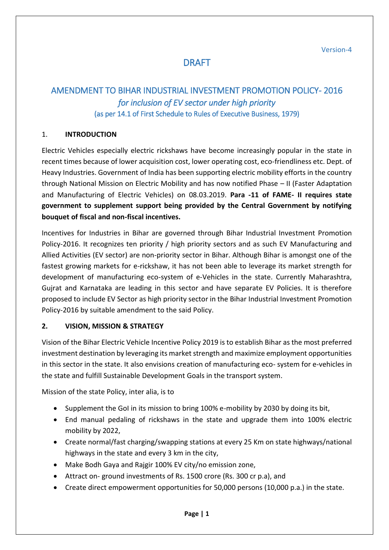Version-4

# DRAFT

## AMENDMENT TO BIHAR INDUSTRIAL INVESTMENT PROMOTION POLICY- 2016 *for inclusion of EV sector under high priority*  (as per 14.1 of First Schedule to Rules of Executive Business, 1979)

#### 1. **INTRODUCTION**

Electric Vehicles especially electric rickshaws have become increasingly popular in the state in recent times because of lower acquisition cost, lower operating cost, eco-friendliness etc. Dept. of Heavy Industries. Government of India has been supporting electric mobility efforts in the country through National Mission on Electric Mobility and has now notified Phase – II (Faster Adaptation and Manufacturing of Electric Vehicles) on 08.03.2019. **Para -11 of FAME- II requires state government to supplement support being provided by the Central Government by notifying bouquet of fiscal and non-fiscal incentives.**

Incentives for Industries in Bihar are governed through Bihar Industrial Investment Promotion Policy-2016. It recognizes ten priority / high priority sectors and as such EV Manufacturing and Allied Activities (EV sector) are non-priority sector in Bihar. Although Bihar is amongst one of the fastest growing markets for e-rickshaw, it has not been able to leverage its market strength for development of manufacturing eco-system of e-Vehicles in the state. Currently Maharashtra, Gujrat and Karnataka are leading in this sector and have separate EV Policies. It is therefore proposed to include EV Sector as high priority sector in the Bihar Industrial Investment Promotion Policy-2016 by suitable amendment to the said Policy.

#### **2. VISION, MISSION & STRATEGY**

Vision of the Bihar Electric Vehicle Incentive Policy 2019 is to establish Bihar as the most preferred investment destination by leveraging its market strength and maximize employment opportunities in this sector in the state. It also envisions creation of manufacturing eco- system for e-vehicles in the state and fulfill Sustainable Development Goals in the transport system.

Mission of the state Policy, inter alia, is to

- Supplement the GoI in its mission to bring 100% e-mobility by 2030 by doing its bit,
- End manual pedaling of rickshaws in the state and upgrade them into 100% electric mobility by 2022,
- Create normal/fast charging/swapping stations at every 25 Km on state highways/national highways in the state and every 3 km in the city,
- Make Bodh Gaya and Rajgir 100% EV city/no emission zone,
- Attract on- ground investments of Rs. 1500 crore (Rs. 300 cr p.a), and
- Create direct empowerment opportunities for 50,000 persons (10,000 p.a.) in the state.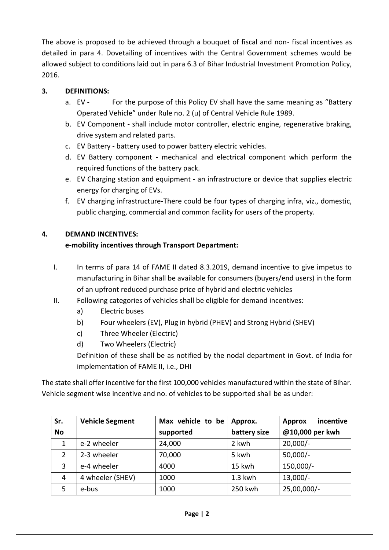The above is proposed to be achieved through a bouquet of fiscal and non- fiscal incentives as detailed in para 4. Dovetailing of incentives with the Central Government schemes would be allowed subject to conditions laid out in para 6.3 of Bihar Industrial Investment Promotion Policy, 2016.

## **3. DEFINITIONS:**

- a. EV For the purpose of this Policy EV shall have the same meaning as "Battery Operated Vehicle" under Rule no. 2 (u) of Central Vehicle Rule 1989.
- b. EV Component shall include motor controller, electric engine, regenerative braking, drive system and related parts.
- c. EV Battery battery used to power battery electric vehicles.
- d. EV Battery component mechanical and electrical component which perform the required functions of the battery pack.
- e. EV Charging station and equipment an infrastructure or device that supplies electric energy for charging of EVs.
- f. EV charging infrastructure-There could be four types of charging infra, viz., domestic, public charging, commercial and common facility for users of the property.

## **4. DEMAND INCENTIVES:**

## **e-mobility incentives through Transport Department:**

- I. In terms of para 14 of FAME II dated 8.3.2019, demand incentive to give impetus to manufacturing in Bihar shall be available for consumers (buyers/end users) in the form of an upfront reduced purchase price of hybrid and electric vehicles
- II. Following categories of vehicles shall be eligible for demand incentives:
	- a) Electric buses
	- b) Four wheelers (EV), Plug in hybrid (PHEV) and Strong Hybrid (SHEV)
	- c) Three Wheeler (Electric)
	- d) Two Wheelers (Electric)

Definition of these shall be as notified by the nodal department in Govt. of India for implementation of FAME II, i.e., DHI

The state shall offer incentive for the first 100,000 vehicles manufactured within the state of Bihar. Vehicle segment wise incentive and no. of vehicles to be supported shall be as under:

| Sr.       | <b>Vehicle Segment</b> | Max vehicle to be | Approx.      | incentive<br><b>Approx</b> |
|-----------|------------------------|-------------------|--------------|----------------------------|
| <b>No</b> |                        | supported         | battery size | @10,000 per kwh            |
| 1         | e-2 wheeler            | 24,000            | 2 kwh        | $20,000/-$                 |
| 2         | 2-3 wheeler            | 70,000            | 5 kwh        | $50,000/-$                 |
| 3         | e-4 wheeler            | 4000              | 15 kwh       | 150,000/-                  |
| 4         | 4 wheeler (SHEV)       | 1000              | $1.3$ kwh    | $13,000/-$                 |
| 5         | e-bus                  | 1000              | 250 kwh      | 25,00,000/-                |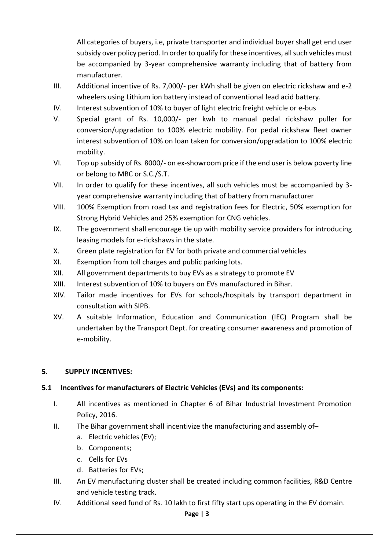All categories of buyers, i.e, private transporter and individual buyer shall get end user subsidy over policy period. In order to qualify for these incentives, all such vehicles must be accompanied by 3-year comprehensive warranty including that of battery from manufacturer.

- III. Additional incentive of Rs. 7,000/- per kWh shall be given on electric rickshaw and e-2 wheelers using Lithium ion battery instead of conventional lead acid battery.
- IV. Interest subvention of 10% to buyer of light electric freight vehicle or e-bus
- V. Special grant of Rs. 10,000/- per kwh to manual pedal rickshaw puller for conversion/upgradation to 100% electric mobility. For pedal rickshaw fleet owner interest subvention of 10% on loan taken for conversion/upgradation to 100% electric mobility.
- VI. Top up subsidy of Rs. 8000/- on ex-showroom price if the end user is below poverty line or belong to MBC or S.C./S.T.
- VII. In order to qualify for these incentives, all such vehicles must be accompanied by 3 year comprehensive warranty including that of battery from manufacturer
- VIII. 100% Exemption from road tax and registration fees for Electric, 50% exemption for Strong Hybrid Vehicles and 25% exemption for CNG vehicles.
- IX. The government shall encourage tie up with mobility service providers for introducing leasing models for e-rickshaws in the state.
- X. Green plate registration for EV for both private and commercial vehicles
- XI. Exemption from toll charges and public parking lots.
- XII. All government departments to buy EVs as a strategy to promote EV
- XIII. Interest subvention of 10% to buyers on EVs manufactured in Bihar.
- XIV. Tailor made incentives for EVs for schools/hospitals by transport department in consultation with SIPB.
- XV. A suitable Information, Education and Communication (IEC) Program shall be undertaken by the Transport Dept. for creating consumer awareness and promotion of e-mobility.

## **5. SUPPLY INCENTIVES:**

## **5.1 Incentives for manufacturers of Electric Vehicles (EVs) and its components:**

- I. All incentives as mentioned in Chapter 6 of Bihar Industrial Investment Promotion Policy, 2016.
- II. The Bihar government shall incentivize the manufacturing and assembly of–
	- a. Electric vehicles (EV);
	- b. Components;
	- c. Cells for EVs
	- d. Batteries for EVs;
- III. An EV manufacturing cluster shall be created including common facilities, R&D Centre and vehicle testing track.
- IV. Additional seed fund of Rs. 10 lakh to first fifty start ups operating in the EV domain.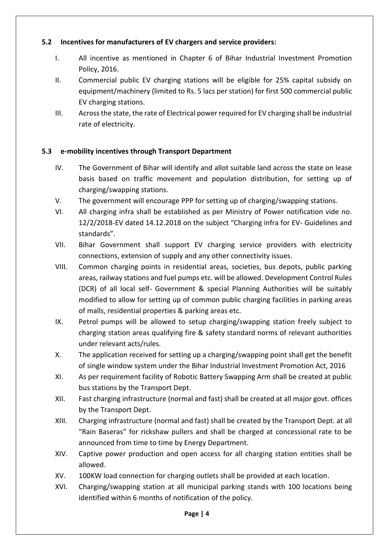## **5.2 Incentives for manufacturers of EV chargers and service providers:**

- I. All incentive as mentioned in Chapter 6 of Bihar Industrial Investment Promotion Policy, 2016.
- II. Commercial public EV charging stations will be eligible for 25% capital subsidy on equipment/machinery (limited to Rs. 5 lacs per station) for first 500 commercial public EV charging stations.
- III. Across the state, the rate of Electrical power required for EV charging shall be industrial rate of electricity.

## **5.3 e-mobility incentives through Transport Department**

- IV. The Government of Bihar will identify and allot suitable land across the state on lease basis based on traffic movement and population distribution, for setting up of charging/swapping stations.
- V. The government will encourage PPP for setting up of charging/swapping stations.
- VI. All charging infra shall be established as per Ministry of Power notification vide no. 12/2/2018-EV dated 14.12.2018 on the subject "Charging infra for EV- Guidelines and standards".
- VII. Bihar Government shall support EV charging service providers with electricity connections, extension of supply and any other connectivity issues.
- VIII. Common charging points in residential areas, societies, bus depots, public parking areas, railway stations and fuel pumps etc. will be allowed. Development Control Rules (DCR) of all local self- Government & special Planning Authorities will be suitably modified to allow for setting up of common public charging facilities in parking areas of malls, residential properties & parking areas etc.
- IX. Petrol pumps will be allowed to setup charging/swapping station freely subject to charging station areas qualifying fire & safety standard norms of relevant authorities under relevant acts/rules.
- X. The application received for setting up a charging/swapping point shall get the benefit of single window system under the Bihar Industrial Investment Promotion Act, 2016
- XI. As per requirement facility of Robotic Battery Swapping Arm shall be created at public bus stations by the Transport Dept.
- XII. Fast charging infrastructure (normal and fast) shall be created at all major govt. offices by the Transport Dept.
- XIII. Charging infrastructure (normal and fast) shall be created by the Transport Dept. at all "Rain Baseras" for rickshaw pullers and shall be charged at concessional rate to be announced from time to time by Energy Department.
- XIV. Captive power production and open access for all charging station entities shall be allowed.
- XV. 100KW load connection for charging outlets shall be provided at each location.
- XVI. Charging/swapping station at all municipal parking stands with 100 locations being identified within 6 months of notification of the policy.